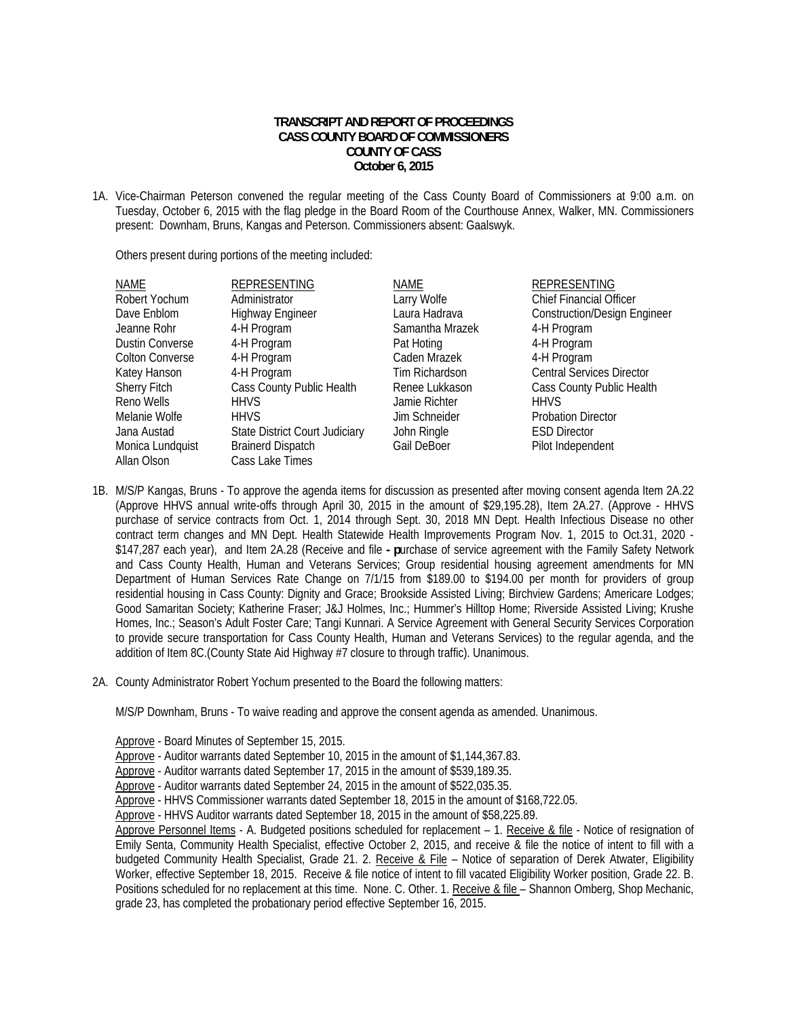## **TRANSCRIPT AND REPORT OF PROCEEDINGS CASS COUNTY BOARD OF COMMISSIONERS COUNTY OF CASS October 6, 2015**

1A. Vice-Chairman Peterson convened the regular meeting of the Cass County Board of Commissioners at 9:00 a.m. on Tuesday, October 6, 2015 with the flag pledge in the Board Room of the Courthouse Annex, Walker, MN. Commissioners present: Downham, Bruns, Kangas and Peterson. Commissioners absent: Gaalswyk.

Others present during portions of the meeting included:

| <b>NAME</b>            | <b>REPRESENTING</b>                   | NAME            | <b>REPRESENTING</b>                 |
|------------------------|---------------------------------------|-----------------|-------------------------------------|
| Robert Yochum          | Administrator                         | Larry Wolfe     | <b>Chief Financial Officer</b>      |
| Dave Enblom            | <b>Highway Engineer</b>               | Laura Hadrava   | <b>Construction/Design Engineer</b> |
| Jeanne Rohr            | 4-H Program                           | Samantha Mrazek | 4-H Program                         |
| <b>Dustin Converse</b> | 4-H Program                           | Pat Hoting      | 4-H Program                         |
| <b>Colton Converse</b> | 4-H Program                           | Caden Mrazek    | 4-H Program                         |
| Katey Hanson           | 4-H Program                           | Tim Richardson  | <b>Central Services Director</b>    |
| <b>Sherry Fitch</b>    | Cass County Public Health             | Renee Lukkason  | Cass County Public Health           |
| Reno Wells             | <b>HHVS</b>                           | Jamie Richter   | <b>HHVS</b>                         |
| Melanie Wolfe          | <b>HHVS</b>                           | Jim Schneider   | <b>Probation Director</b>           |
| Jana Austad            | <b>State District Court Judiciary</b> | John Ringle     | <b>ESD Director</b>                 |
| Monica Lundquist       | <b>Brainerd Dispatch</b>              | Gail DeBoer     | Pilot Independent                   |
| Allan Olson            | Cass Lake Times                       |                 |                                     |

- 1B. M/S/P Kangas, Bruns To approve the agenda items for discussion as presented after moving consent agenda Item 2A.22 (Approve HHVS annual write-offs through April 30, 2015 in the amount of \$29,195.28), Item 2A.27. (Approve - HHVS purchase of service contracts from Oct. 1, 2014 through Sept. 30, 2018 MN Dept. Health Infectious Disease no other contract term changes and MN Dept. Health Statewide Health Improvements Program Nov. 1, 2015 to Oct.31, 2020 - \$147,287 each year), and Item 2A.28 (Receive and file **- p**urchase of service agreement with the Family Safety Network and Cass County Health, Human and Veterans Services; Group residential housing agreement amendments for MN Department of Human Services Rate Change on 7/1/15 from \$189.00 to \$194.00 per month for providers of group residential housing in Cass County: Dignity and Grace; Brookside Assisted Living; Birchview Gardens; Americare Lodges; Good Samaritan Society; Katherine Fraser; J&J Holmes, Inc.; Hummer's Hilltop Home; Riverside Assisted Living; Krushe Homes, Inc.; Season's Adult Foster Care; Tangi Kunnari. A Service Agreement with General Security Services Corporation to provide secure transportation for Cass County Health, Human and Veterans Services) to the regular agenda, and the addition of Item 8C.(County State Aid Highway #7 closure to through traffic). Unanimous.
- 2A. County Administrator Robert Yochum presented to the Board the following matters:

M/S/P Downham, Bruns - To waive reading and approve the consent agenda as amended. Unanimous.

Approve - Board Minutes of September 15, 2015.

Approve - Auditor warrants dated September 10, 2015 in the amount of \$1,144,367.83.

Approve - Auditor warrants dated September 17, 2015 in the amount of \$539,189.35.

Approve - Auditor warrants dated September 24, 2015 in the amount of \$522,035.35.

Approve - HHVS Commissioner warrants dated September 18, 2015 in the amount of \$168,722.05.

Approve - HHVS Auditor warrants dated September 18, 2015 in the amount of \$58,225.89.

Approve Personnel Items - A. Budgeted positions scheduled for replacement – 1. Receive & file - Notice of resignation of Emily Senta, Community Health Specialist, effective October 2, 2015, and receive & file the notice of intent to fill with a budgeted Community Health Specialist, Grade 21. 2. Receive & File - Notice of separation of Derek Atwater, Eligibility Worker, effective September 18, 2015. Receive & file notice of intent to fill vacated Eligibility Worker position, Grade 22. B. Positions scheduled for no replacement at this time. None. C. Other. 1. Receive & file – Shannon Omberg, Shop Mechanic, grade 23, has completed the probationary period effective September 16, 2015.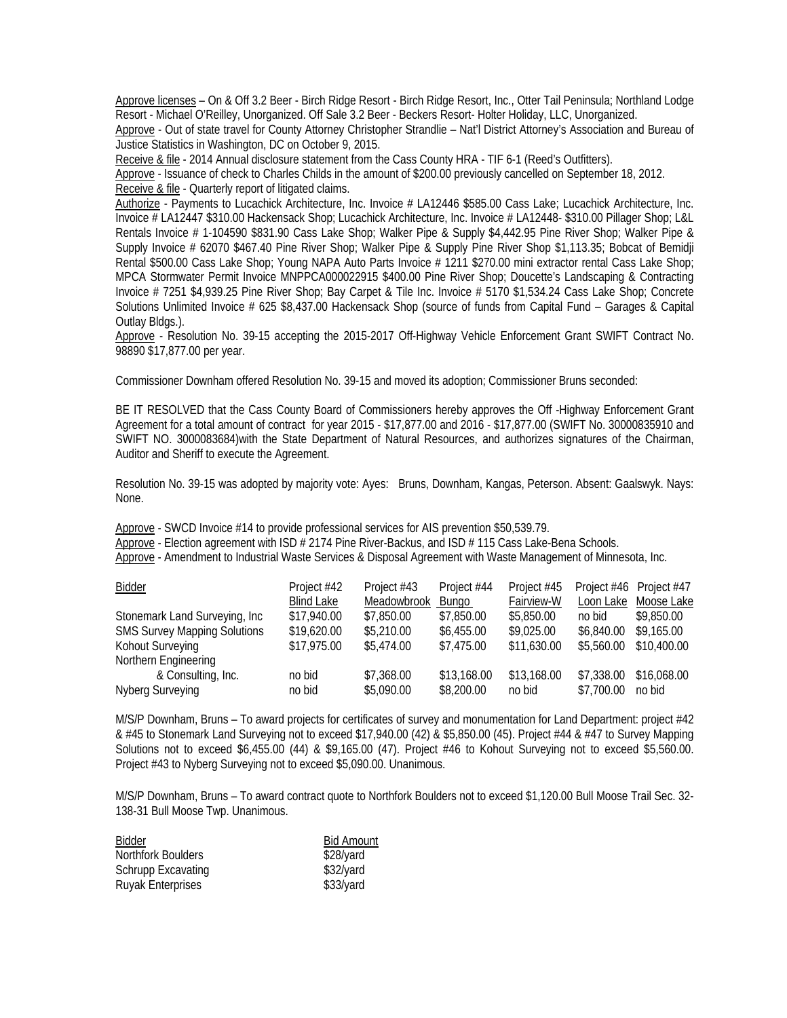Approve licenses – On & Off 3.2 Beer - Birch Ridge Resort - Birch Ridge Resort, Inc., Otter Tail Peninsula; Northland Lodge Resort - Michael O'Reilley, Unorganized. Off Sale 3.2 Beer - Beckers Resort- Holter Holiday, LLC, Unorganized.

 Approve - Out of state travel for County Attorney Christopher Strandlie – Nat'l District Attorney's Association and Bureau of Justice Statistics in Washington, DC on October 9, 2015.

Receive & file - 2014 Annual disclosure statement from the Cass County HRA - TIF 6-1 (Reed's Outfitters).

 Approve - Issuance of check to Charles Childs in the amount of \$200.00 previously cancelled on September 18, 2012. Receive & file - Quarterly report of litigated claims.

 Authorize - Payments to Lucachick Architecture, Inc. Invoice # LA12446 \$585.00 Cass Lake; Lucachick Architecture, Inc. Invoice # LA12447 \$310.00 Hackensack Shop; Lucachick Architecture, Inc. Invoice # LA12448- \$310.00 Pillager Shop; L&L Rentals Invoice # 1-104590 \$831.90 Cass Lake Shop; Walker Pipe & Supply \$4,442.95 Pine River Shop; Walker Pipe & Supply Invoice # 62070 \$467.40 Pine River Shop; Walker Pipe & Supply Pine River Shop \$1,113.35; Bobcat of Bemidji Rental \$500.00 Cass Lake Shop; Young NAPA Auto Parts Invoice # 1211 \$270.00 mini extractor rental Cass Lake Shop; MPCA Stormwater Permit Invoice MNPPCA000022915 \$400.00 Pine River Shop; Doucette's Landscaping & Contracting Invoice # 7251 \$4,939.25 Pine River Shop; Bay Carpet & Tile Inc. Invoice # 5170 \$1,534.24 Cass Lake Shop; Concrete Solutions Unlimited Invoice # 625 \$8,437.00 Hackensack Shop (source of funds from Capital Fund – Garages & Capital Outlay Bldgs.).

 Approve - Resolution No. 39-15 accepting the 2015-2017 Off-Highway Vehicle Enforcement Grant SWIFT Contract No. 98890 \$17,877.00 per year.

Commissioner Downham offered Resolution No. 39-15 and moved its adoption; Commissioner Bruns seconded:

BE IT RESOLVED that the Cass County Board of Commissioners hereby approves the Off -Highway Enforcement Grant Agreement for a total amount of contract for year 2015 - \$17,877.00 and 2016 - \$17,877.00 (SWIFT No. 30000835910 and SWIFT NO. 3000083684)with the State Department of Natural Resources, and authorizes signatures of the Chairman, Auditor and Sheriff to execute the Agreement.

Resolution No. 39-15 was adopted by majority vote: Ayes: Bruns, Downham, Kangas, Peterson. Absent: Gaalswyk. Nays: None.

 Approve - SWCD Invoice #14 to provide professional services for AIS prevention \$50,539.79. Approve - Election agreement with ISD # 2174 Pine River-Backus, and ISD # 115 Cass Lake-Bena Schools. Approve - Amendment to Industrial Waste Services & Disposal Agreement with Waste Management of Minnesota, Inc.

| <b>Bidder</b>                       | Project #42       | Project #43 | Project #44 | Project #45 | Project #46 | Project #47 |
|-------------------------------------|-------------------|-------------|-------------|-------------|-------------|-------------|
|                                     | <b>Blind Lake</b> | Meadowbrook | Bungo       | Fairview-W  | Loon Lake   | Moose Lake  |
| Stonemark Land Surveying, Inc       | \$17,940.00       | \$7,850.00  | \$7,850.00  | \$5,850.00  | no bid      | \$9,850.00  |
| <b>SMS Survey Mapping Solutions</b> | \$19,620.00       | \$5,210.00  | \$6,455.00  | \$9,025.00  | \$6,840.00  | \$9,165.00  |
| Kohout Surveying                    | \$17,975.00       | \$5,474.00  | \$7,475.00  | \$11,630.00 | \$5,560.00  | \$10,400.00 |
| Northern Engineering                |                   |             |             |             |             |             |
| & Consulting, Inc.                  | no bid            | \$7,368.00  | \$13,168.00 | \$13,168.00 | \$7,338.00  | \$16,068.00 |
| Nyberg Surveying                    | no bid            | \$5,090.00  | \$8,200.00  | no bid      | \$7,700.00  | no bid      |

 M/S/P Downham, Bruns – To award projects for certificates of survey and monumentation for Land Department: project #42 & #45 to Stonemark Land Surveying not to exceed \$17,940.00 (42) & \$5,850.00 (45). Project #44 & #47 to Survey Mapping Solutions not to exceed \$6,455.00 (44) & \$9,165.00 (47). Project #46 to Kohout Surveying not to exceed \$5,560.00. Project #43 to Nyberg Surveying not to exceed \$5,090.00. Unanimous.

 M/S/P Downham, Bruns – To award contract quote to Northfork Boulders not to exceed \$1,120.00 Bull Moose Trail Sec. 32- 138-31 Bull Moose Twp. Unanimous.

| Bidder             | <b>Bid Amount</b> |
|--------------------|-------------------|
| Northfork Boulders | \$28/yard         |
| Schrupp Excavating | \$32/yard         |
| Ruyak Enterprises  | $$33/$ yard       |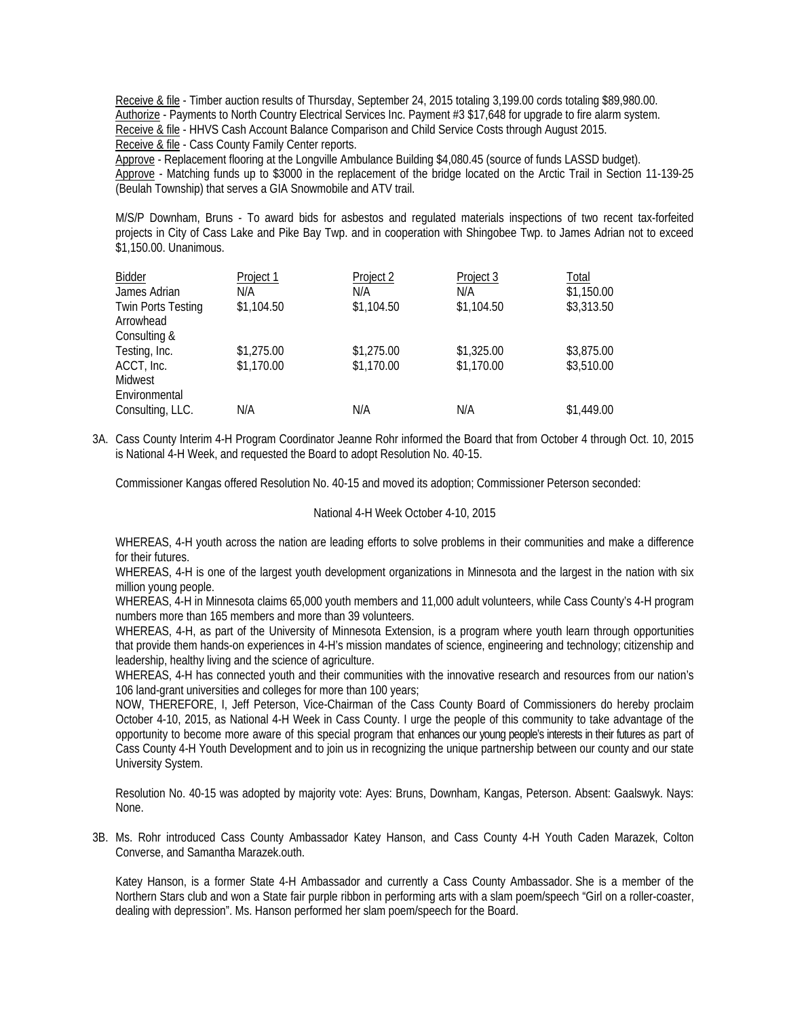Receive & file - Timber auction results of Thursday, September 24, 2015 totaling 3,199.00 cords totaling \$89,980.00. Authorize - Payments to North Country Electrical Services Inc. Payment #3 \$17,648 for upgrade to fire alarm system. Receive & file - HHVS Cash Account Balance Comparison and Child Service Costs through August 2015. Receive & file - Cass County Family Center reports.

 Approve - Replacement flooring at the Longville Ambulance Building \$4,080.45 (source of funds LASSD budget). Approve - Matching funds up to \$3000 in the replacement of the bridge located on the Arctic Trail in Section 11-139-25 (Beulah Township) that serves a GIA Snowmobile and ATV trail.

 M/S/P Downham, Bruns - To award bids for asbestos and regulated materials inspections of two recent tax-forfeited projects in City of Cass Lake and Pike Bay Twp. and in cooperation with Shingobee Twp. to James Adrian not to exceed \$1,150.00. Unanimous.

| Bidder                    | Project 1  | Project 2  | Project 3  | Total      |
|---------------------------|------------|------------|------------|------------|
| James Adrian              | N/A        | N/A        | N/A        | \$1,150.00 |
| <b>Twin Ports Testing</b> | \$1,104.50 | \$1,104.50 | \$1,104.50 | \$3,313.50 |
| Arrowhead                 |            |            |            |            |
| Consulting &              |            |            |            |            |
| Testing, Inc.             | \$1,275.00 | \$1,275.00 | \$1,325.00 | \$3,875.00 |
| ACCT, Inc.                | \$1,170.00 | \$1,170.00 | \$1,170.00 | \$3,510.00 |
| Midwest                   |            |            |            |            |
| Environmental             |            |            |            |            |
| Consulting, LLC.          | N/A        | N/A        | N/A        | \$1,449.00 |
|                           |            |            |            |            |

3A. Cass County Interim 4-H Program Coordinator Jeanne Rohr informed the Board that from October 4 through Oct. 10, 2015 is National 4-H Week, and requested the Board to adopt Resolution No. 40-15.

Commissioner Kangas offered Resolution No. 40-15 and moved its adoption; Commissioner Peterson seconded:

## National 4-H Week October 4-10, 2015

WHEREAS, 4-H youth across the nation are leading efforts to solve problems in their communities and make a difference for their futures.

WHEREAS, 4-H is one of the largest youth development organizations in Minnesota and the largest in the nation with six million young people.

WHEREAS, 4-H in Minnesota claims 65,000 youth members and 11,000 adult volunteers, while Cass County's 4-H program numbers more than 165 members and more than 39 volunteers.

WHEREAS, 4-H, as part of the University of Minnesota Extension, is a program where youth learn through opportunities that provide them hands-on experiences in 4-H's mission mandates of science, engineering and technology; citizenship and leadership, healthy living and the science of agriculture.

WHEREAS, 4-H has connected youth and their communities with the innovative research and resources from our nation's 106 land-grant universities and colleges for more than 100 years;

NOW, THEREFORE, I, Jeff Peterson, Vice-Chairman of the Cass County Board of Commissioners do hereby proclaim October 4-10, 2015, as National 4-H Week in Cass County. I urge the people of this community to take advantage of the opportunity to become more aware of this special program that enhances our young people's interests in their futures as part of Cass County 4-H Youth Development and to join us in recognizing the unique partnership between our county and our state University System.

Resolution No. 40-15 was adopted by majority vote: Ayes: Bruns, Downham, Kangas, Peterson. Absent: Gaalswyk. Nays: None.

3B. Ms. Rohr introduced Cass County Ambassador Katey Hanson, and Cass County 4-H Youth Caden Marazek, Colton Converse, and Samantha Marazek.outh.

Katey Hanson, is a former State 4-H Ambassador and currently a Cass County Ambassador. She is a member of the Northern Stars club and won a State fair purple ribbon in performing arts with a slam poem/speech "Girl on a roller-coaster, dealing with depression". Ms. Hanson performed her slam poem/speech for the Board.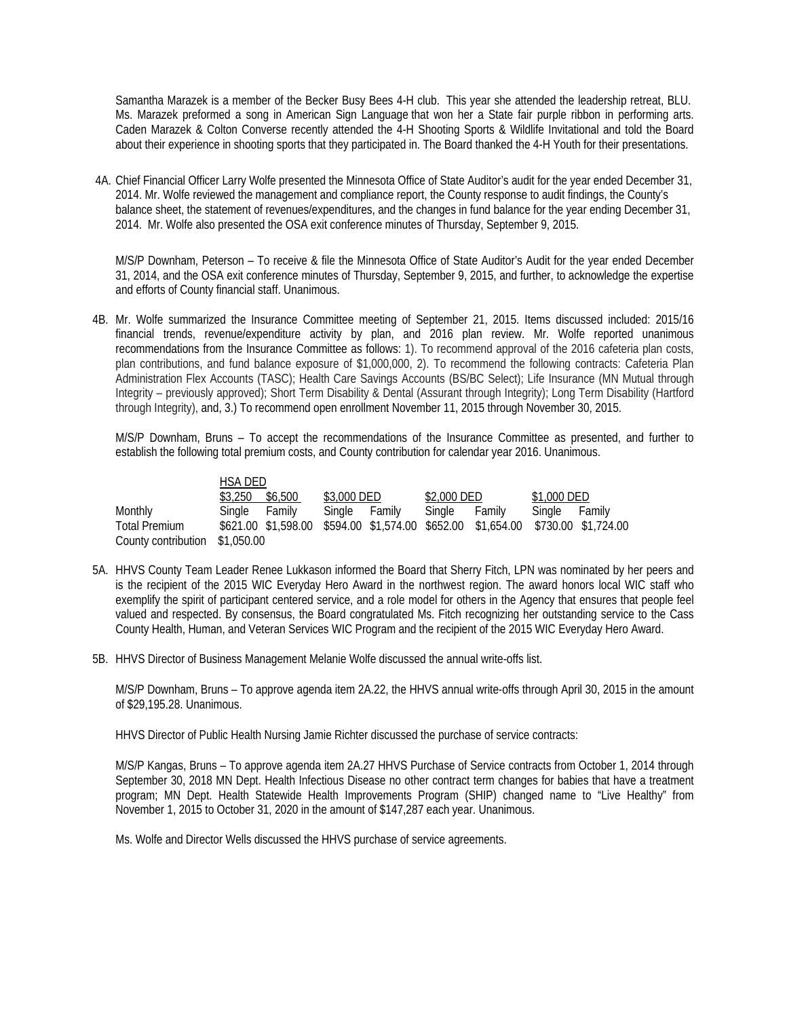Samantha Marazek is a member of the Becker Busy Bees 4-H club. This year she attended the leadership retreat, BLU. Ms. Marazek preformed a song in American Sign Language that won her a State fair purple ribbon in performing arts. Caden Marazek & Colton Converse recently attended the 4-H Shooting Sports & Wildlife Invitational and told the Board about their experience in shooting sports that they participated in. The Board thanked the 4-H Youth for their presentations.

 4A. Chief Financial Officer Larry Wolfe presented the Minnesota Office of State Auditor's audit for the year ended December 31, 2014. Mr. Wolfe reviewed the management and compliance report, the County response to audit findings, the County's balance sheet, the statement of revenues/expenditures, and the changes in fund balance for the year ending December 31, 2014. Mr. Wolfe also presented the OSA exit conference minutes of Thursday, September 9, 2015.

M/S/P Downham, Peterson – To receive & file the Minnesota Office of State Auditor's Audit for the year ended December 31, 2014, and the OSA exit conference minutes of Thursday, September 9, 2015, and further, to acknowledge the expertise and efforts of County financial staff. Unanimous.

4B. Mr. Wolfe summarized the Insurance Committee meeting of September 21, 2015. Items discussed included: 2015/16 financial trends, revenue/expenditure activity by plan, and 2016 plan review. Mr. Wolfe reported unanimous recommendations from the Insurance Committee as follows: 1). To recommend approval of the 2016 cafeteria plan costs, plan contributions, and fund balance exposure of \$1,000,000, 2). To recommend the following contracts: Cafeteria Plan Administration Flex Accounts (TASC); Health Care Savings Accounts (BS/BC Select); Life Insurance (MN Mutual through Integrity – previously approved); Short Term Disability & Dental (Assurant through Integrity); Long Term Disability (Hartford through Integrity), and, 3.) To recommend open enrollment November 11, 2015 through November 30, 2015.

 M/S/P Downham, Bruns – To accept the recommendations of the Insurance Committee as presented, and further to establish the following total premium costs, and County contribution for calendar year 2016. Unanimous.

|                                | HSA DED         |               |             |                                                                                 |               |  |
|--------------------------------|-----------------|---------------|-------------|---------------------------------------------------------------------------------|---------------|--|
|                                | \$3,250 \$6,500 | \$3,000 DED   | \$2,000 DED |                                                                                 | \$1,000 DED   |  |
| Monthly                        | Single Family   | Single Family | Sinale      | Family                                                                          | Single Family |  |
| <b>Total Premium</b>           |                 |               |             | \$621.00 \$1,598.00 \$594.00 \$1,574.00 \$652.00 \$1,654.00 \$730.00 \$1,724.00 |               |  |
| County contribution \$1,050.00 |                 |               |             |                                                                                 |               |  |

- 5A. HHVS County Team Leader Renee Lukkason informed the Board that Sherry Fitch, LPN was nominated by her peers and is the recipient of the 2015 WIC Everyday Hero Award in the northwest region. The award honors local WIC staff who exemplify the spirit of participant centered service, and a role model for others in the Agency that ensures that people feel valued and respected. By consensus, the Board congratulated Ms. Fitch recognizing her outstanding service to the Cass County Health, Human, and Veteran Services WIC Program and the recipient of the 2015 WIC Everyday Hero Award.
- 5B. HHVS Director of Business Management Melanie Wolfe discussed the annual write-offs list.

 M/S/P Downham, Bruns – To approve agenda item 2A.22, the HHVS annual write-offs through April 30, 2015 in the amount of \$29,195.28. Unanimous.

HHVS Director of Public Health Nursing Jamie Richter discussed the purchase of service contracts:

 M/S/P Kangas, Bruns – To approve agenda item 2A.27 HHVS Purchase of Service contracts from October 1, 2014 through September 30, 2018 MN Dept. Health Infectious Disease no other contract term changes for babies that have a treatment program; MN Dept. Health Statewide Health Improvements Program (SHIP) changed name to "Live Healthy" from November 1, 2015 to October 31, 2020 in the amount of \$147,287 each year. Unanimous.

Ms. Wolfe and Director Wells discussed the HHVS purchase of service agreements.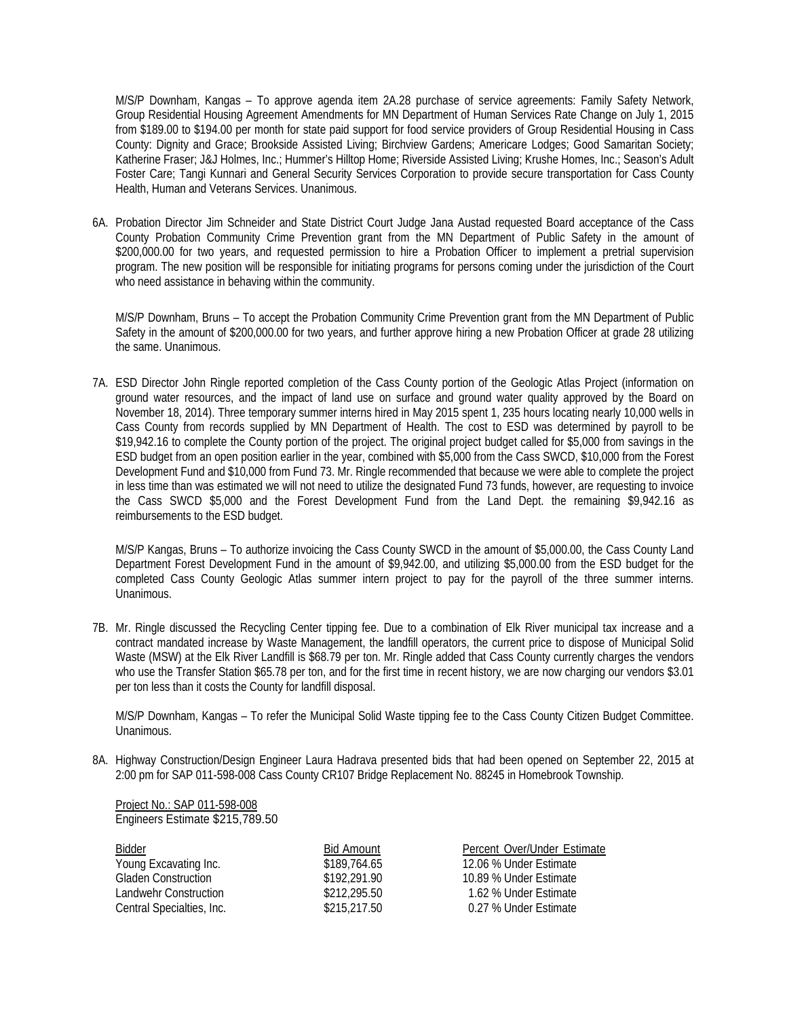M/S/P Downham, Kangas – To approve agenda item 2A.28 purchase of service agreements: Family Safety Network, Group Residential Housing Agreement Amendments for MN Department of Human Services Rate Change on July 1, 2015 from \$189.00 to \$194.00 per month for state paid support for food service providers of Group Residential Housing in Cass County: Dignity and Grace; Brookside Assisted Living; Birchview Gardens; Americare Lodges; Good Samaritan Society; Katherine Fraser; J&J Holmes, Inc.; Hummer's Hilltop Home; Riverside Assisted Living; Krushe Homes, Inc.; Season's Adult Foster Care; Tangi Kunnari and General Security Services Corporation to provide secure transportation for Cass County Health, Human and Veterans Services. Unanimous.

6A. Probation Director Jim Schneider and State District Court Judge Jana Austad requested Board acceptance of the Cass County Probation Community Crime Prevention grant from the MN Department of Public Safety in the amount of \$200,000.00 for two years, and requested permission to hire a Probation Officer to implement a pretrial supervision program. The new position will be responsible for initiating programs for persons coming under the jurisdiction of the Court who need assistance in behaving within the community.

M/S/P Downham, Bruns – To accept the Probation Community Crime Prevention grant from the MN Department of Public Safety in the amount of \$200,000.00 for two years, and further approve hiring a new Probation Officer at grade 28 utilizing the same. Unanimous.

7A. ESD Director John Ringle reported completion of the Cass County portion of the Geologic Atlas Project (information on ground water resources, and the impact of land use on surface and ground water quality approved by the Board on November 18, 2014). Three temporary summer interns hired in May 2015 spent 1, 235 hours locating nearly 10,000 wells in Cass County from records supplied by MN Department of Health. The cost to ESD was determined by payroll to be \$19,942.16 to complete the County portion of the project. The original project budget called for \$5,000 from savings in the ESD budget from an open position earlier in the year, combined with \$5,000 from the Cass SWCD, \$10,000 from the Forest Development Fund and \$10,000 from Fund 73. Mr. Ringle recommended that because we were able to complete the project in less time than was estimated we will not need to utilize the designated Fund 73 funds, however, are requesting to invoice the Cass SWCD \$5,000 and the Forest Development Fund from the Land Dept. the remaining \$9,942.16 as reimbursements to the ESD budget.

 M/S/P Kangas, Bruns – To authorize invoicing the Cass County SWCD in the amount of \$5,000.00, the Cass County Land Department Forest Development Fund in the amount of \$9,942.00, and utilizing \$5,000.00 from the ESD budget for the completed Cass County Geologic Atlas summer intern project to pay for the payroll of the three summer interns. Unanimous.

7B. Mr. Ringle discussed the Recycling Center tipping fee. Due to a combination of Elk River municipal tax increase and a contract mandated increase by Waste Management, the landfill operators, the current price to dispose of Municipal Solid Waste (MSW) at the Elk River Landfill is \$68.79 per ton. Mr. Ringle added that Cass County currently charges the vendors who use the Transfer Station \$65.78 per ton, and for the first time in recent history, we are now charging our vendors \$3.01 per ton less than it costs the County for landfill disposal.

M/S/P Downham, Kangas – To refer the Municipal Solid Waste tipping fee to the Cass County Citizen Budget Committee. Unanimous.

8A. Highway Construction/Design Engineer Laura Hadrava presented bids that had been opened on September 22, 2015 at 2:00 pm for SAP 011-598-008 Cass County CR107 Bridge Replacement No. 88245 in Homebrook Township.

 Project No.: SAP 011-598-008 Engineers Estimate \$215,789.50

| <b>Bidder</b>              | Bid Amount   | Percent Over/Under Estimate |
|----------------------------|--------------|-----------------------------|
| Young Excavating Inc.      | \$189,764.65 | 12.06 % Under Estimate      |
| <b>Gladen Construction</b> | \$192.291.90 | 10.89 % Under Estimate      |
| Landwehr Construction      | \$212,295.50 | 1.62 % Under Estimate       |
| Central Specialties, Inc.  | \$215,217.50 | 0.27 % Under Estimate       |